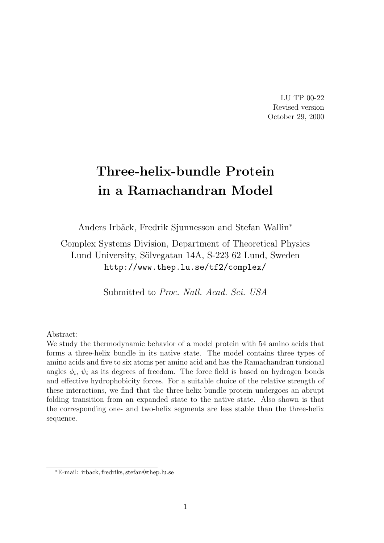LU TP 00-22 Revised version October 29, 2000

# Three-helix-bundle Protein in a Ramachandran Model

Anders Irbäck, Fredrik Sjunnesson and Stefan Wallin<sup>∗</sup>

Complex Systems Division, Department of Theoretical Physics Lund University, Sölvegatan 14A, S-223 62 Lund, Sweden http://www.thep.lu.se/tf2/complex/

Submitted to Proc. Natl. Acad. Sci. USA

Abstract:

We study the thermodynamic behavior of a model protein with 54 amino acids that forms a three-helix bundle in its native state. The model contains three types of amino acids and five to six atoms per amino acid and has the Ramachandran torsional angles  $\phi_i$ ,  $\psi_i$  as its degrees of freedom. The force field is based on hydrogen bonds and effective hydrophobicity forces. For a suitable choice of the relative strength of these interactions, we find that the three-helix-bundle protein undergoes an abrupt folding transition from an expanded state to the native state. Also shown is that the corresponding one- and two-helix segments are less stable than the three-helix sequence.

<sup>∗</sup>E-mail: irback, fredriks, stefan@thep.lu.se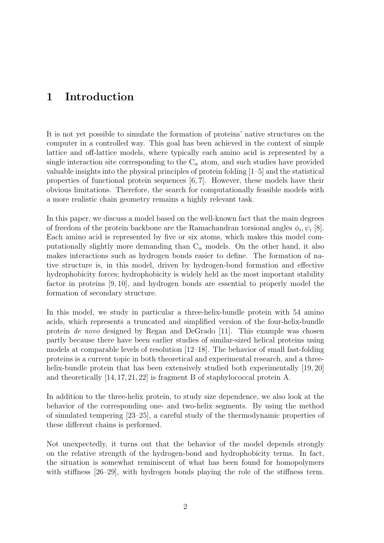# 1 Introduction

It is not yet possible to simulate the formation of proteins' native structures on the computer in a controlled way. This goal has been achieved in the context of simple lattice and off-lattice models, where typically each amino acid is represented by a single interaction site corresponding to the  $C_{\alpha}$  atom, and such studies have provided valuable insights into the physical principles of protein folding [1–5] and the statistical properties of functional protein sequences [6, 7]. However, these models have their obvious limitations. Therefore, the search for computationally feasible models with a more realistic chain geometry remains a highly relevant task.

In this paper, we discuss a model based on the well-known fact that the main degrees of freedom of the protein backbone are the Ramachandran torsional angles  $\phi_i, \psi_i$  [8]. Each amino acid is represented by five or six atoms, which makes this model computationally slightly more demanding than  $C_{\alpha}$  models. On the other hand, it also makes interactions such as hydrogen bonds easier to define. The formation of native structure is, in this model, driven by hydrogen-bond formation and effective hydrophobicity forces; hydrophobicity is widely held as the most important stability factor in proteins [9, 10], and hydrogen bonds are essential to properly model the formation of secondary structure.

In this model, we study in particular a three-helix-bundle protein with 54 amino acids, which represents a truncated and simplified version of the four-helix-bundle protein de novo designed by Regan and DeGrado [11]. This example was chosen partly because there have been earlier studies of similar-sized helical proteins using models at comparable levels of resolution [12–18]. The behavior of small fast-folding proteins is a current topic in both theoretical and experimental research, and a threehelix-bundle protein that has been extensively studied both experimentally [19, 20] and theoretically [14, 17, 21, 22] is fragment B of staphylococcal protein A.

In addition to the three-helix protein, to study size dependence, we also look at the behavior of the corresponding one- and two-helix segments. By using the method of simulated tempering [23–25], a careful study of the thermodynamic properties of these different chains is performed.

Not unexpectedly, it turns out that the behavior of the model depends strongly on the relative strength of the hydrogen-bond and hydrophobicity terms. In fact, the situation is somewhat reminiscent of what has been found for homopolymers with stiffness [26–29], with hydrogen bonds playing the role of the stiffness term.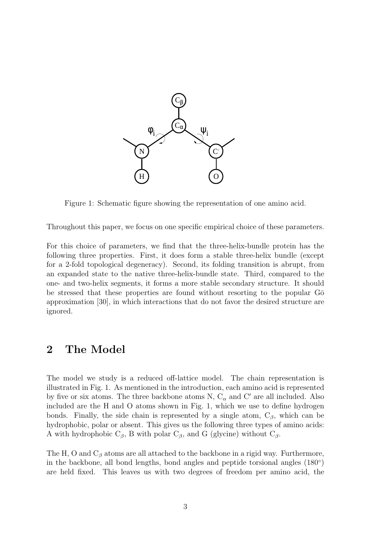

Figure 1: Schematic figure showing the representation of one amino acid.

Throughout this paper, we focus on one specific empirical choice of these parameters.

For this choice of parameters, we find that the three-helix-bundle protein has the following three properties. First, it does form a stable three-helix bundle (except for a 2-fold topological degeneracy). Second, its folding transition is abrupt, from an expanded state to the native three-helix-bundle state. Third, compared to the one- and two-helix segments, it forms a more stable secondary structure. It should be stressed that these properties are found without resorting to the popular  $G\bar{o}$ approximation [30], in which interactions that do not favor the desired structure are ignored.

## 2 The Model

The model we study is a reduced off-lattice model. The chain representation is illustrated in Fig. 1. As mentioned in the introduction, each amino acid is represented by five or six atoms. The three backbone atoms N,  $C_{\alpha}$  and C' are all included. Also included are the H and O atoms shown in Fig. 1, which we use to define hydrogen bonds. Finally, the side chain is represented by a single atom,  $C_\beta$ , which can be hydrophobic, polar or absent. This gives us the following three types of amino acids: A with hydrophobic  $C_\beta$ , B with polar  $C_\beta$ , and G (glycine) without  $C_\beta$ .

The H, O and  $C_\beta$  atoms are all attached to the backbone in a rigid way. Furthermore, in the backbone, all bond lengths, bond angles and peptide torsional angles (180◦ ) are held fixed. This leaves us with two degrees of freedom per amino acid, the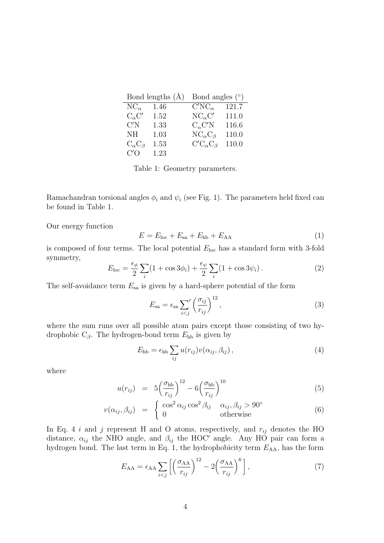|                       | Bond lengths $(A)$ | Bond angles $(°)$       |       |  |  |  |
|-----------------------|--------------------|-------------------------|-------|--|--|--|
| $NC_{\alpha}$         | 1.46               | $C'NC_{\alpha}$         | 121.7 |  |  |  |
| $C_{\alpha}C'$        | 1.52               | $NC_{\alpha}C'$         | 111.0 |  |  |  |
| C'N                   | 1.33               | $C_{\alpha}C'N$         | 116.6 |  |  |  |
| NH                    | 1.03               | $NC_{\alpha}C_{\beta}$  | 110.0 |  |  |  |
| $C_{\alpha}C_{\beta}$ | 1.53               | $C'C_{\alpha}C_{\beta}$ | 110.0 |  |  |  |
| C/O                   | 1.23               |                         |       |  |  |  |

Table 1: Geometry parameters.

Ramachandran torsional angles  $\phi_i$  and  $\psi_i$  (see Fig. 1). The parameters held fixed can be found in Table 1.

Our energy function

$$
E = Eloc + Esa + Ehb + EAA
$$
 (1)

is composed of four terms. The local potential  $E_{\text{loc}}$  has a standard form with 3-fold symmetry,

$$
E_{\text{loc}} = \frac{\epsilon_{\phi}}{2} \sum_{i} (1 + \cos 3\phi_i) + \frac{\epsilon_{\psi}}{2} \sum_{i} (1 + \cos 3\psi_i).
$$
 (2)

The self-avoidance term  $E_{sa}$  is given by a hard-sphere potential of the form

$$
E_{\rm sa} = \epsilon_{\rm sa} \sum_{i < j} \left(\frac{\sigma_{ij}}{r_{ij}}\right)^{12},\tag{3}
$$

where the sum runs over all possible atom pairs except those consisting of two hydrophobic  $C_{\beta}$ . The hydrogen-bond term  $E_{\text{hb}}$  is given by

$$
E_{\rm hb} = \epsilon_{\rm hb} \sum_{ij} u(r_{ij}) v(\alpha_{ij}, \beta_{ij}), \qquad (4)
$$

where

$$
u(r_{ij}) = 5\left(\frac{\sigma_{\text{hb}}}{r_{ij}}\right)^{12} - 6\left(\frac{\sigma_{\text{hb}}}{r_{ij}}\right)^{10} \tag{5}
$$

$$
v(\alpha_{ij}, \beta_{ij}) = \begin{cases} \cos^2 \alpha_{ij} \cos^2 \beta_{ij} & \alpha_{ij}, \beta_{ij} > 90^\circ\\ 0 & \text{otherwise} \end{cases}
$$
(6)

In Eq. 4 i and j represent H and O atoms, respectively, and  $r_{ij}$  denotes the HO distance,  $\alpha_{ij}$  the NHO angle, and  $\beta_{ij}$  the HOC' angle. Any HO pair can form a hydrogen bond. The last term in Eq. 1, the hydrophobicity term  $E_{AA}$ , has the form

$$
E_{AA} = \epsilon_{AA} \sum_{i < j} \left[ \left( \frac{\sigma_{AA}}{r_{ij}} \right)^{12} - 2 \left( \frac{\sigma_{AA}}{r_{ij}} \right)^{6} \right],\tag{7}
$$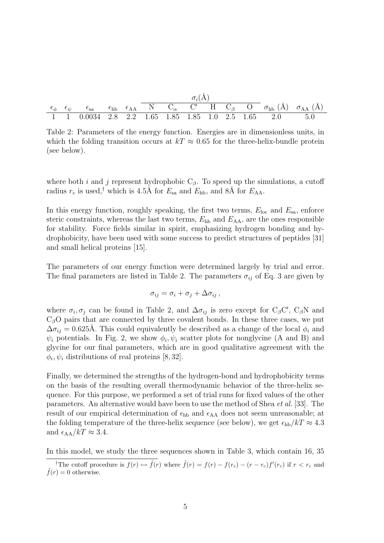|  |  | $\sigma_i(A)$ |  |  |  |  |  |                                                        |                                                                                                                                                                                                |
|--|--|---------------|--|--|--|--|--|--------------------------------------------------------|------------------------------------------------------------------------------------------------------------------------------------------------------------------------------------------------|
|  |  |               |  |  |  |  |  |                                                        | $\epsilon_{\phi}$ $\epsilon_{\psi}$ $\epsilon_{\text{sa}}$ $\epsilon_{\text{hb}}$ $\epsilon_{\text{AA}}$ N $C_{\alpha}$ C' H $C_{\beta}$ O $\sigma_{\text{hb}}(\AA)$ $\sigma_{\text{AA}}(\AA)$ |
|  |  |               |  |  |  |  |  | 1 1 0.0034 2.8 2.2 1.65 1.85 1.85 1.0 2.5 1.65 2.0 5.0 |                                                                                                                                                                                                |

Table 2: Parameters of the energy function. Energies are in dimensionless units, in which the folding transition occurs at  $kT \approx 0.65$  for the three-helix-bundle protein (see below).

where both i and j represent hydrophobic  $C_\beta$ . To speed up the simulations, a cutoff radius  $r_c$  is used,<sup>†</sup> which is 4.5Å for  $E_{\text{sa}}$  and  $E_{\text{hb}}$ , and 8Å for  $E_{\text{AA}}$ .

In this energy function, roughly speaking, the first two terms,  $E_{\text{loc}}$  and  $E_{\text{sa}}$ , enforce steric constraints, whereas the last two terms,  $E_{hb}$  and  $E_{AA}$ , are the ones responsible for stability. Force fields similar in spirit, emphasizing hydrogen bonding and hydrophobicity, have been used with some success to predict structures of peptides [31] and small helical proteins [15].

The parameters of our energy function were determined largely by trial and error. The final parameters are listed in Table 2. The parameters  $\sigma_{ij}$  of Eq. 3 are given by

$$
\sigma_{ij} = \sigma_i + \sigma_j + \Delta \sigma_{ij},
$$

where  $\sigma_i, \sigma_j$  can be found in Table 2, and  $\Delta \sigma_{ij}$  is zero except for C<sub>β</sub>C', C<sub>β</sub>N and  $C_{\beta}$ O pairs that are connected by three covalent bonds. In these three cases, we put  $\Delta \sigma_{ij} = 0.625$ Å. This could equivalently be described as a change of the local  $\phi_i$  and  $\psi_i$  potentials. In Fig. 2, we show  $\phi_i, \psi_i$  scatter plots for nonglycine (A and B) and glycine for our final parameters, which are in good qualitative agreement with the  $\phi_i, \psi_i$  distributions of real proteins [8,32].

Finally, we determined the strengths of the hydrogen-bond and hydrophobicity terms on the basis of the resulting overall thermodynamic behavior of the three-helix sequence. For this purpose, we performed a set of trial runs for fixed values of the other parameters. An alternative would have been to use the method of Shea et al. [33]. The result of our empirical determination of  $\epsilon_{hb}$  and  $\epsilon_{AA}$  does not seem unreasonable; at the folding temperature of the three-helix sequence (see below), we get  $\epsilon_{hb}/kT \approx 4.3$ and  $\epsilon_{AA}/kT \approx 3.4$ .

In this model, we study the three sequences shown in Table 3, which contain 16, 35

<sup>&</sup>lt;sup>†</sup>The cutoff procedure is  $f(r) \mapsto \tilde{f}(r)$  where  $\tilde{f}(r) = f(r) - f(r_c) - (r - r_c)f'(r_c)$  if  $r < r_c$  and  $ilde{f}(r) = 0$  otherwise.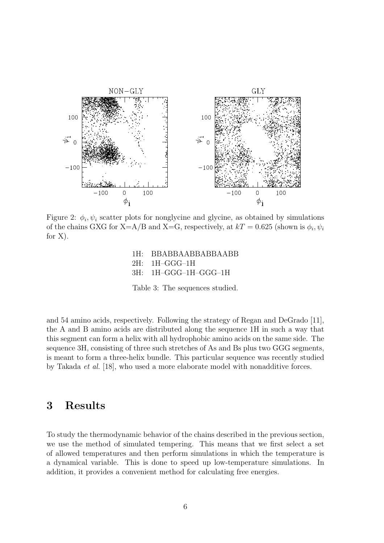

Figure 2:  $\phi_i, \psi_i$  scatter plots for nonglycine and glycine, as obtained by simulations of the chains GXG for X=A/B and X=G, respectively, at  $kT = 0.625$  (shown is  $\phi_i, \psi_i$ ) for X).

1H: BBABBAABBABBAABB 2H: 1H–GGG–1H 3H: 1H–GGG–1H–GGG–1H

Table 3: The sequences studied.

and 54 amino acids, respectively. Following the strategy of Regan and DeGrado [11], the A and B amino acids are distributed along the sequence 1H in such a way that this segment can form a helix with all hydrophobic amino acids on the same side. The sequence 3H, consisting of three such stretches of As and Bs plus two GGG segments, is meant to form a three-helix bundle. This particular sequence was recently studied by Takada et al. [18], who used a more elaborate model with nonadditive forces.

#### 3 Results

To study the thermodynamic behavior of the chains described in the previous section, we use the method of simulated tempering. This means that we first select a set of allowed temperatures and then perform simulations in which the temperature is a dynamical variable. This is done to speed up low-temperature simulations. In addition, it provides a convenient method for calculating free energies.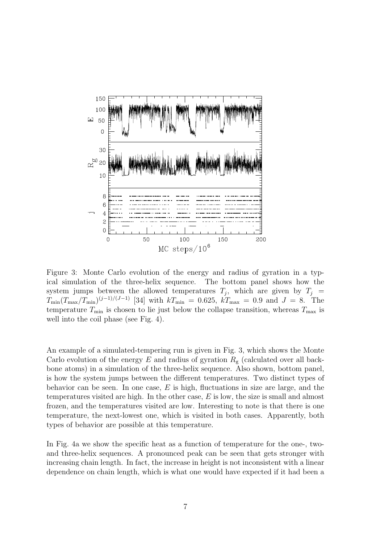

Figure 3: Monte Carlo evolution of the energy and radius of gyration in a typical simulation of the three-helix sequence. The bottom panel shows how the system jumps between the allowed temperatures  $T_j$ , which are given by  $T_j$  =  $T_{\min}(T_{\max}/T_{\min})^{(j-1)/(J-1)}$  [34] with  $kT_{\min} = 0.625, kT_{\max} = 0.9$  and  $J = 8$ . The temperature  $T_{\text{min}}$  is chosen to lie just below the collapse transition, whereas  $T_{\text{max}}$  is well into the coil phase (see Fig. 4).

An example of a simulated-tempering run is given in Fig. 3, which shows the Monte Carlo evolution of the energy E and radius of gyration  $R_{\rm g}$  (calculated over all backbone atoms) in a simulation of the three-helix sequence. Also shown, bottom panel, is how the system jumps between the different temperatures. Two distinct types of behavior can be seen. In one case,  $E$  is high, fluctuations in size are large, and the temperatures visited are high. In the other case, E is low, the size is small and almost frozen, and the temperatures visited are low. Interesting to note is that there is one temperature, the next-lowest one, which is visited in both cases. Apparently, both types of behavior are possible at this temperature.

In Fig. 4a we show the specific heat as a function of temperature for the one-, twoand three-helix sequences. A pronounced peak can be seen that gets stronger with increasing chain length. In fact, the increase in height is not inconsistent with a linear dependence on chain length, which is what one would have expected if it had been a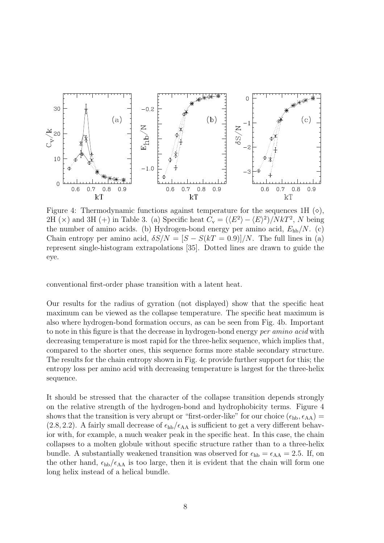

Figure 4: Thermodynamic functions against temperature for the sequences 1H  $(\diamond)$ , 2H ( $\times$ ) and 3H (+) in Table 3. (a) Specific heat  $C_v = (\langle E^2 \rangle - \langle E \rangle^2)/NkT^2$ , N being the number of amino acids. (b) Hydrogen-bond energy per amino acid,  $E_{hb}/N$ . (c) Chain entropy per amino acid,  $\delta S/N = [S - S(kT = 0.9)]/N$ . The full lines in (a) represent single-histogram extrapolations [35]. Dotted lines are drawn to guide the eye.

conventional first-order phase transition with a latent heat.

Our results for the radius of gyration (not displayed) show that the specific heat maximum can be viewed as the collapse temperature. The specific heat maximum is also where hydrogen-bond formation occurs, as can be seen from Fig. 4b. Important to note in this figure is that the decrease in hydrogen-bond energy per amino acid with decreasing temperature is most rapid for the three-helix sequence, which implies that, compared to the shorter ones, this sequence forms more stable secondary structure. The results for the chain entropy shown in Fig. 4c provide further support for this; the entropy loss per amino acid with decreasing temperature is largest for the three-helix sequence.

It should be stressed that the character of the collapse transition depends strongly on the relative strength of the hydrogen-bond and hydrophobicity terms. Figure 4 shows that the transition is very abrupt or "first-order-like" for our choice  $(\epsilon_{hb}, \epsilon_{AA})$  =  $(2.8, 2.2)$ . A fairly small decrease of  $\epsilon_{hb}/\epsilon_{AA}$  is sufficient to get a very different behavior with, for example, a much weaker peak in the specific heat. In this case, the chain collapses to a molten globule without specific structure rather than to a three-helix bundle. A substantially weakened transition was observed for  $\epsilon_{hb} = \epsilon_{AA} = 2.5$ . If, on the other hand,  $\epsilon_{hb}/\epsilon_{AA}$  is too large, then it is evident that the chain will form one long helix instead of a helical bundle.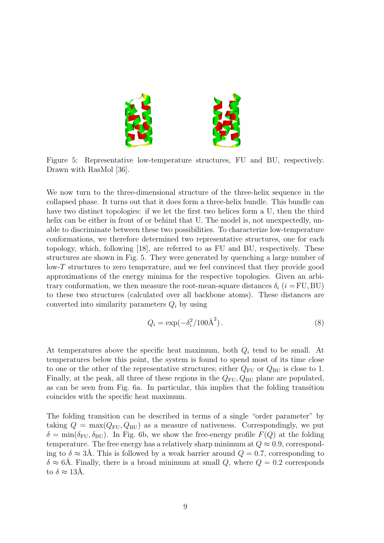

Figure 5: Representative low-temperature structures, FU and BU, respectively. Drawn with RasMol [36].

We now turn to the three-dimensional structure of the three-helix sequence in the collapsed phase. It turns out that it does form a three-helix bundle. This bundle can have two distinct topologies: if we let the first two helices form a U, then the third helix can be either in front of or behind that U. The model is, not unexpectedly, unable to discriminate between these two possibilities. To characterize low-temperature conformations, we therefore determined two representative structures, one for each topology, which, following [18], are referred to as FU and BU, respectively. These structures are shown in Fig. 5. They were generated by quenching a large number of low-T structures to zero temperature, and we feel convinced that they provide good approximations of the energy minima for the respective topologies. Given an arbitrary conformation, we then measure the root-mean-square distances  $\delta_i$  ( $i = FU, BU$ ) to these two structures (calculated over all backbone atoms). These distances are converted into similarity parameters  $Q_i$  by using

$$
Q_i = \exp(-\delta_i^2/100\text{\AA}^2). \tag{8}
$$

At temperatures above the specific heat maximum, both  $Q_i$  tend to be small. At temperatures below this point, the system is found to spend most of its time close to one or the other of the representative structures; either  $Q_{\text{FU}}$  or  $Q_{\text{BU}}$  is close to 1. Finally, at the peak, all three of these regions in the  $Q_{\text{FU}}, Q_{\text{BU}}$  plane are populated, as can be seen from Fig. 6a. In particular, this implies that the folding transition coincides with the specific heat maximum.

The folding transition can be described in terms of a single "order parameter" by taking  $Q = \max(Q_{\text{FU}}, Q_{\text{BU}})$  as a measure of nativeness. Correspondingly, we put  $\delta = \min(\delta_{\text{FU}}, \delta_{\text{BU}})$ . In Fig. 6b, we show the free-energy profile  $F(Q)$  at the folding temperature. The free energy has a relatively sharp minimum at  $Q \approx 0.9$ , corresponding to  $\delta \approx 3\text{\AA}$ . This is followed by a weak barrier around  $Q = 0.7$ , corresponding to  $\delta \approx 6\text{\AA}$ . Finally, there is a broad minimum at small Q, where  $Q = 0.2$  corresponds to  $\delta \approx 13\text{\AA}$ .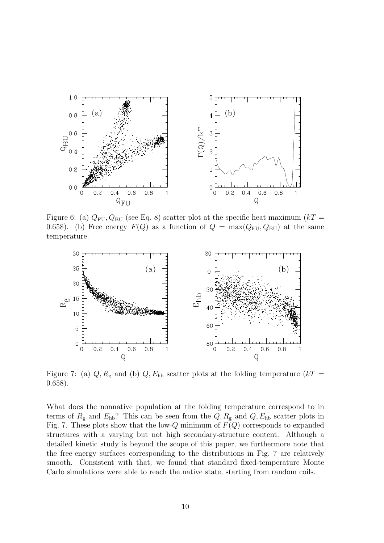

Figure 6: (a)  $Q_{\text{FU}}$ ,  $Q_{\text{BU}}$  (see Eq. 8) scatter plot at the specific heat maximum ( $kT =$ 0.658). (b) Free energy  $F(Q)$  as a function of  $Q = \max(Q_{\text{FU}}, Q_{\text{BU}})$  at the same temperature.



Figure 7: (a)  $Q, R_{\rm g}$  and (b)  $Q, E_{\rm hb}$  scatter plots at the folding temperature (kT = 0.658).

What does the nonnative population at the folding temperature correspond to in terms of  $R_{\rm g}$  and  $E_{\rm hb}$ ? This can be seen from the  $Q, R_{\rm g}$  and  $Q, E_{\rm hb}$  scatter plots in Fig. 7. These plots show that the low-Q minimum of  $F(Q)$  corresponds to expanded structures with a varying but not high secondary-structure content. Although a detailed kinetic study is beyond the scope of this paper, we furthermore note that the free-energy surfaces corresponding to the distributions in Fig. 7 are relatively smooth. Consistent with that, we found that standard fixed-temperature Monte Carlo simulations were able to reach the native state, starting from random coils.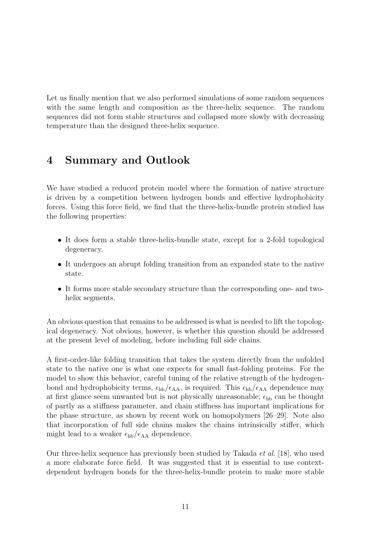Let us finally mention that we also performed simulations of some random sequences with the same length and composition as the three-helix sequence. The random sequences did not form stable structures and collapsed more slowly with decreasing temperature than the designed three-helix sequence.

# 4 Summary and Outlook

We have studied a reduced protein model where the formation of native structure is driven by a competition between hydrogen bonds and effective hydrophobicity forces. Using this force field, we find that the three-helix-bundle protein studied has the following properties:

- It does form a stable three-helix-bundle state, except for a 2-fold topological degeneracy.
- It undergoes an abrupt folding transition from an expanded state to the native state.
- It forms more stable secondary structure than the corresponding one- and twohelix segments.

An obvious question that remains to be addressed is what is needed to lift the topological degeneracy. Not obvious, however, is whether this question should be addressed at the present level of modeling, before including full side chains.

A first-order-like folding transition that takes the system directly from the unfolded state to the native one is what one expects for small fast-folding proteins. For the model to show this behavior, careful tuning of the relative strength of the hydrogenbond and hydrophobicity terms,  $\epsilon_{hb}/\epsilon_{AA}$ , is required. This  $\epsilon_{hb}/\epsilon_{AA}$  dependence may at first glance seem unwanted but is not physically unreasonable;  $\epsilon_{hb}$  can be thought of partly as a stiffness parameter, and chain stiffness has important implications for the phase structure, as shown by recent work on homopolymers [26–29]. Note also that incorporation of full side chains makes the chains intrinsically stiffer, which might lead to a weaker  $\epsilon_{hb}/\epsilon_{AA}$  dependence.

Our three-helix sequence has previously been studied by Takada et al. [18], who used a more elaborate force field. It was suggested that it is essential to use contextdependent hydrogen bonds for the three-helix-bundle protein to make more stable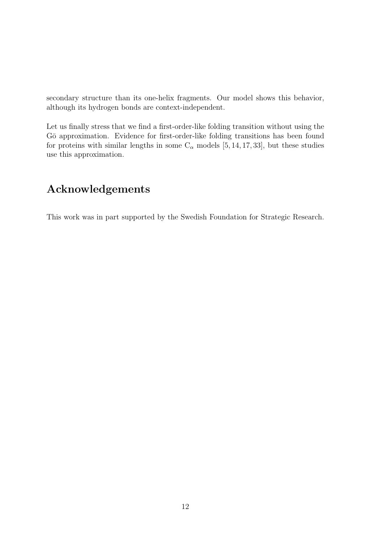secondary structure than its one-helix fragments. Our model shows this behavior, although its hydrogen bonds are context-independent.

Let us finally stress that we find a first-order-like folding transition without using the Gō approximation. Evidence for first-order-like folding transitions has been found for proteins with similar lengths in some  $C_{\alpha}$  models [5, 14, 17, 33], but these studies use this approximation.

# Acknowledgements

This work was in part supported by the Swedish Foundation for Strategic Research.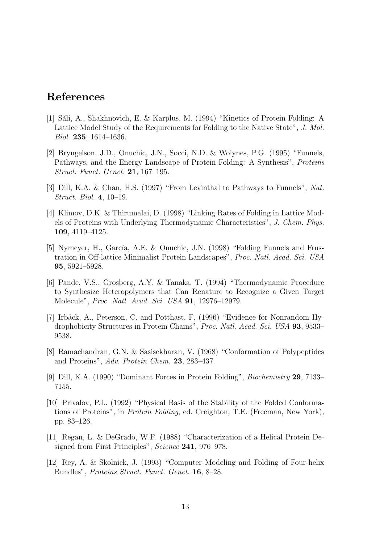## References

- [1] Săli, A., Shakhnovich, E. & Karplus, M. (1994) "Kinetics of Protein Folding: A Lattice Model Study of the Requirements for Folding to the Native State", J. Mol. Biol. 235, 1614–1636.
- [2] Bryngelson, J.D., Onuchic, J.N., Socci, N.D. & Wolynes, P.G. (1995) "Funnels, Pathways, and the Energy Landscape of Protein Folding: A Synthesis", Proteins Struct. Funct. Genet. 21, 167–195.
- [3] Dill, K.A. & Chan, H.S. (1997) "From Levinthal to Pathways to Funnels", Nat. Struct. Biol. 4, 10–19.
- [4] Klimov, D.K. & Thirumalai, D. (1998) "Linking Rates of Folding in Lattice Models of Proteins with Underlying Thermodynamic Characteristics", J. Chem. Phys. 109, 4119–4125.
- [5] Nymeyer, H., García, A.E. & Onuchic, J.N. (1998) "Folding Funnels and Frustration in Off-lattice Minimalist Protein Landscapes", Proc. Natl. Acad. Sci. USA 95, 5921–5928.
- [6] Pande, V.S., Grosberg, A.Y. & Tanaka, T. (1994) "Thermodynamic Procedure to Synthesize Heteropolymers that Can Renature to Recognize a Given Target Molecule", Proc. Natl. Acad. Sci. USA 91, 12976–12979.
- [7] Irbäck, A., Peterson, C. and Potthast, F. (1996) "Evidence for Nonrandom Hydrophobicity Structures in Protein Chains", Proc. Natl. Acad. Sci. USA 93, 9533– 9538.
- [8] Ramachandran, G.N. & Sasisekharan, V. (1968) "Conformation of Polypeptides and Proteins", Adv. Protein Chem. 23, 283–437.
- [9] Dill, K.A. (1990) "Dominant Forces in Protein Folding", Biochemistry 29, 7133– 7155.
- [10] Privalov, P.L. (1992) "Physical Basis of the Stability of the Folded Conformations of Proteins", in Protein Folding, ed. Creighton, T.E. (Freeman, New York), pp. 83–126.
- [11] Regan, L. & DeGrado, W.F. (1988) "Characterization of a Helical Protein Designed from First Principles", Science 241, 976–978.
- [12] Rey, A. & Skolnick, J. (1993) "Computer Modeling and Folding of Four-helix Bundles", Proteins Struct. Funct. Genet. 16, 8–28.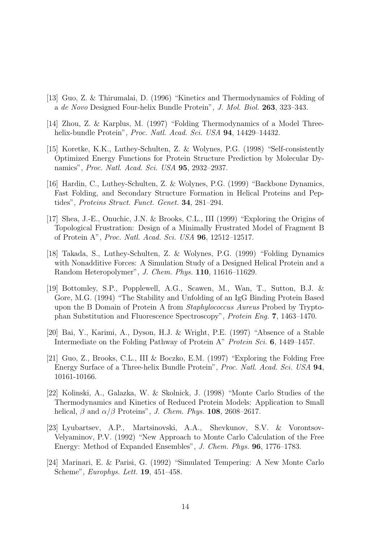- [13] Guo, Z. & Thirumalai, D. (1996) "Kinetics and Thermodynamics of Folding of a de Novo Designed Four-helix Bundle Protein", J. Mol. Biol. 263, 323–343.
- [14] Zhou, Z. & Karplus, M. (1997) "Folding Thermodynamics of a Model Threehelix-bundle Protein", Proc. Natl. Acad. Sci. USA 94, 14429-14432.
- [15] Koretke, K.K., Luthey-Schulten, Z. & Wolynes, P.G. (1998) "Self-consistently Optimized Energy Functions for Protein Structure Prediction by Molecular Dynamics", Proc. Natl. Acad. Sci. USA 95, 2932–2937.
- [16] Hardin, C., Luthey-Schulten, Z. & Wolynes, P.G. (1999) "Backbone Dynamics, Fast Folding, and Secondary Structure Formation in Helical Proteins and Peptides", Proteins Struct. Funct. Genet. 34, 281–294.
- [17] Shea, J.-E., Onuchic, J.N. & Brooks, C.L., III (1999) "Exploring the Origins of Topological Frustration: Design of a Minimally Frustrated Model of Fragment B of Protein A", Proc. Natl. Acad. Sci. USA 96, 12512–12517.
- [18] Takada, S., Luthey-Schulten, Z. & Wolynes, P.G. (1999) "Folding Dynamics with Nonadditive Forces: A Simulation Study of a Designed Helical Protein and a Random Heteropolymer", J. Chem. Phys. 110, 11616–11629.
- [19] Bottomley, S.P., Popplewell, A.G., Scawen, M., Wan, T., Sutton, B.J. & Gore, M.G. (1994) "The Stability and Unfolding of an IgG Binding Protein Based upon the B Domain of Protein A from Staphylococcus Aureus Probed by Tryptophan Substitution and Fluorescence Spectroscopy", Protein Eng. 7, 1463–1470.
- [20] Bai, Y., Karimi, A., Dyson, H.J. & Wright, P.E. (1997) "Absence of a Stable Intermediate on the Folding Pathway of Protein A" Protein Sci. 6, 1449–1457.
- [21] Guo, Z., Brooks, C.L., III & Boczko, E.M. (1997) "Exploring the Folding Free Energy Surface of a Three-helix Bundle Protein", Proc. Natl. Acad. Sci. USA 94, 10161-10166.
- [22] Kolinski, A., Galazka, W. & Skolnick, J. (1998) "Monte Carlo Studies of the Thermodynamics and Kinetics of Reduced Protein Models: Application to Small helical,  $\beta$  and  $\alpha/\beta$  Proteins", J. Chem. Phys. 108, 2608–2617.
- [23] Lyubartsev, A.P., Martsinovski, A.A., Shevkunov, S.V. & Vorontsov-Velyaminov, P.V. (1992) "New Approach to Monte Carlo Calculation of the Free Energy: Method of Expanded Ensembles", J. Chem. Phys. 96, 1776–1783.
- [24] Marinari, E. & Parisi, G. (1992) "Simulated Tempering: A New Monte Carlo Scheme", Europhys. Lett. 19, 451–458.